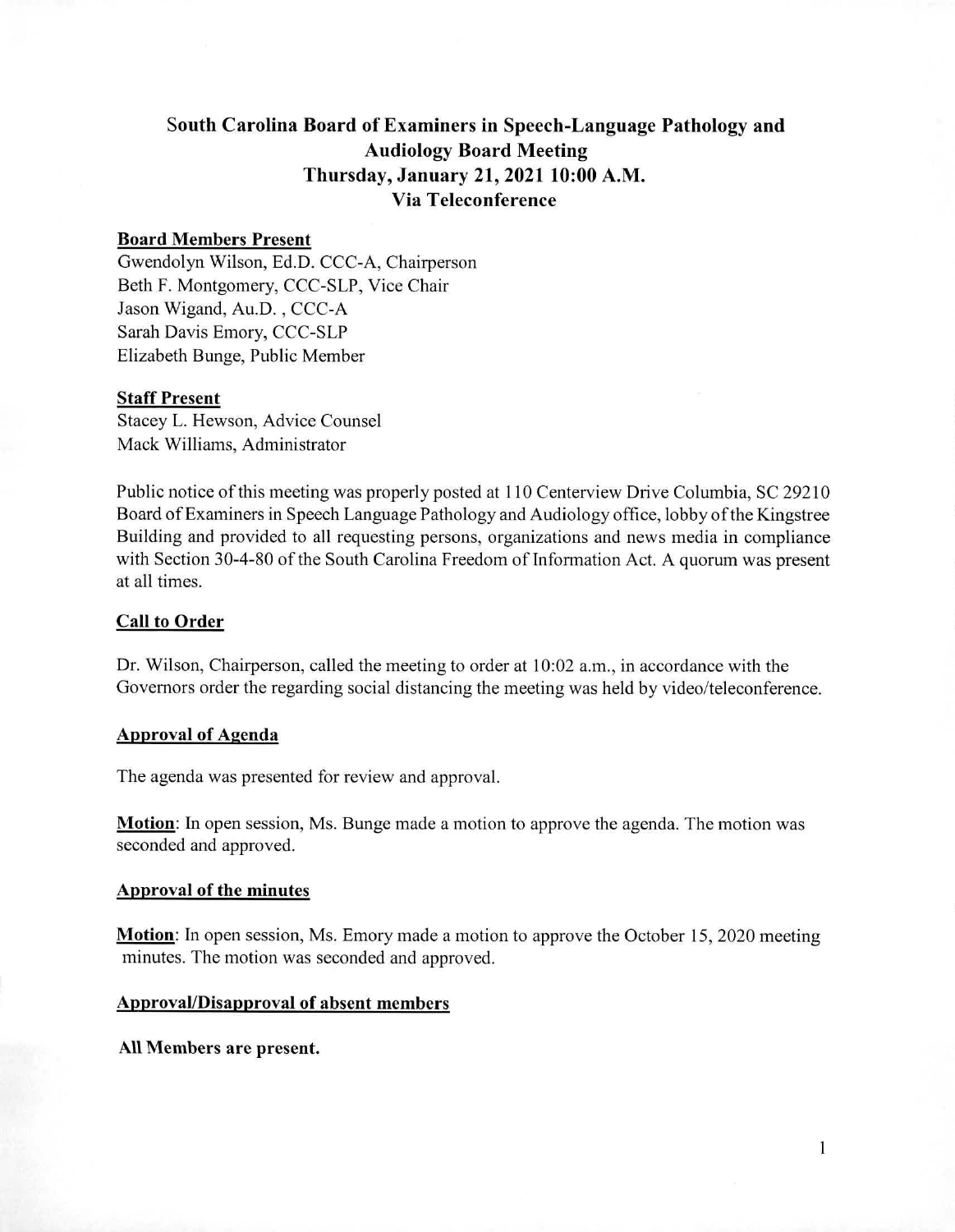## South Carolina Board of Examiners in Speech-Language Pathology and Audiology Board Meeting Thursday, January 21, 2021 10:00 A.M. Via Teleconference

## Board Members Present

Gwendolyn Wilson, Ed.D. CCC-A, Chairperson Beth F. Montgomery, CCC-SLP, Vice Chair Jason Wigand, Au.D. , CCC-A Sarah Davis Emory, CCC-SLP Elizabeth Bunge, Public Member

#### Staff Present

Stacey L. Hewson, Advice Counsel Mack Williams, Administrator

Public notice of this meeting was properly posted at 110 Centerview Drive Columbia, SC 29210 Board of Examiners in Speech Language Pathology and Audiology office, lobby of the Kingstree Building and provided to all requesting persons, organizations and news media in compliance with Section 30-4-80 of the South Carolina Freedom of Information Act. A quorum was present at all times.

### Call to Order

Dr. Wilson, Chairperson, called the meeting to order at 10:02 a.m., in accordance with the Governors order the regarding social distancing the meeting was held by video/teleconference.

### Approval of Agenda

The agenda was presented for review and approval.

Motion: In open session, Ms. Bunge made a motion to approve the agenda. The motion was seconded and approved.

## Approval of the minutes

Motion: In open session, Ms. Emory made a motion to approve the October 15, 2020 meeting minutes. The motion was seconded and approved.

## Approval/Disapproval of absent members

All Members are present.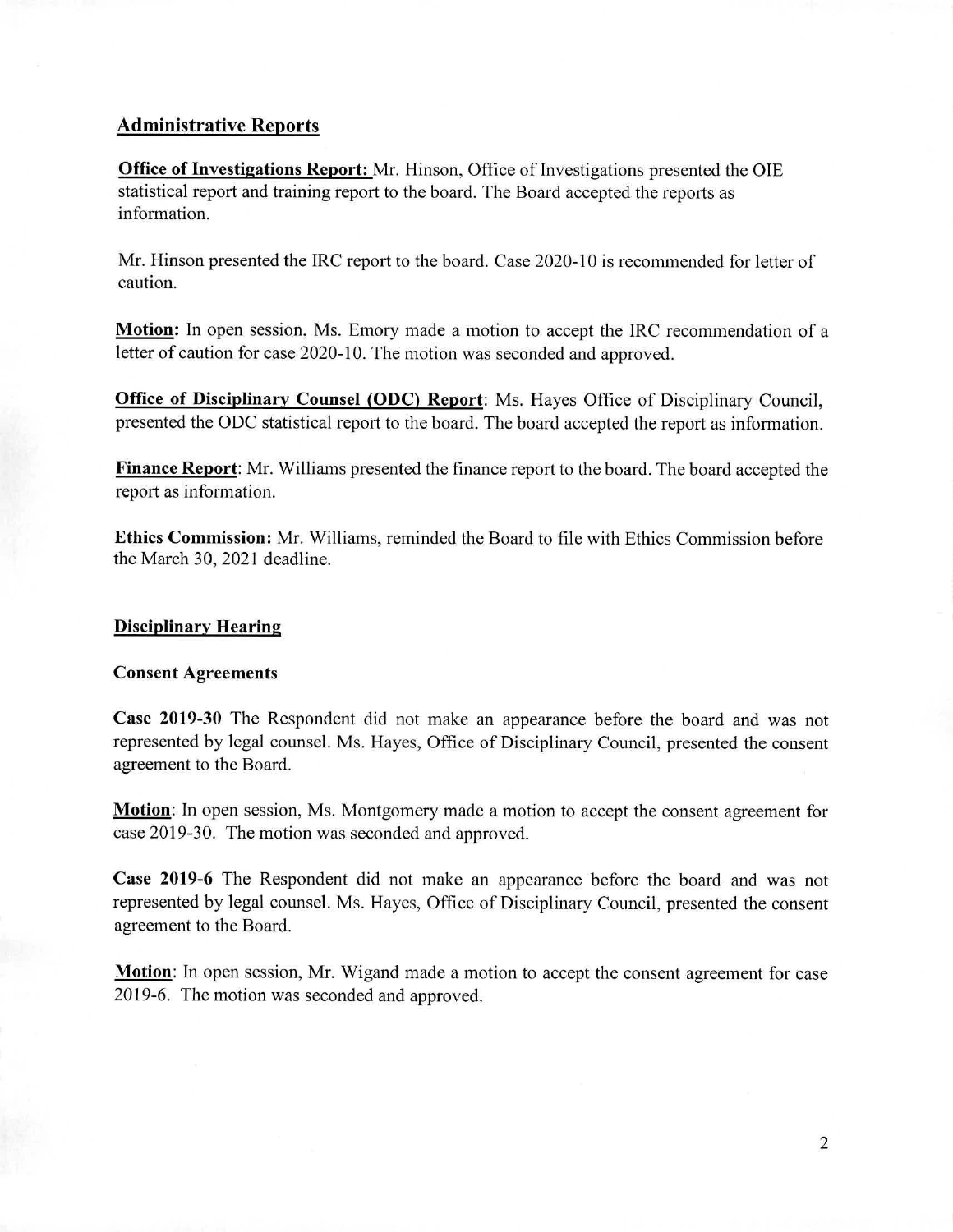## **Administrative Reports**

**Office of Investigations Report:** Mr. Hinson, Office of Investigations presented the OIE statistical report and training report to the board. The Board accepted the reports as information.

Mr. Hinson presented the IRC report to the board. Case 2020-10 is recommended for letter of caution.

**Motion:** In open session, Ms. Emory made a motion to accept the IRC recommendation of a letter of caution for case 2020-10. The motion was seconded and approved.

**Office of Disciplinary Counsel (ODC) Report:** Ms. Hayes Office of Disciplinary Council, presented the ODC statistical report to the board. The board accepted the report as information.

**Finance Report:** Mr. Williams presented the finance report to the board. The board accepted the report as information.

**Ethics Commission:** Mr. Williams, reminded the Board to file with Ethics Commission before the March 30, 2021 deadline.

## Disciplinary Hearing

## Consent Agreements

**Case 2019-30** The Respondent did not make an appearance before the board and was not represented by legal counsel. Ms. Hayes, Office of Disciplinary Council, presented the consent agreement to the Board.

**Motion:** In open session, Ms. Montgomery made a motion to accept the consent agreement for case 2019-30. The motion was seconded and approved.

**Case 2019-6** The Respondent did not make an appearance before the board and was not represented by legal counsel. Ms. Hayes, Office of Disciplinary Council, presented the consent agreement to the Board.

**Motion:** In open session, Mr. Wigand made a motion to accept the consent agreement for case 2019-6. The motion was seconded and approved.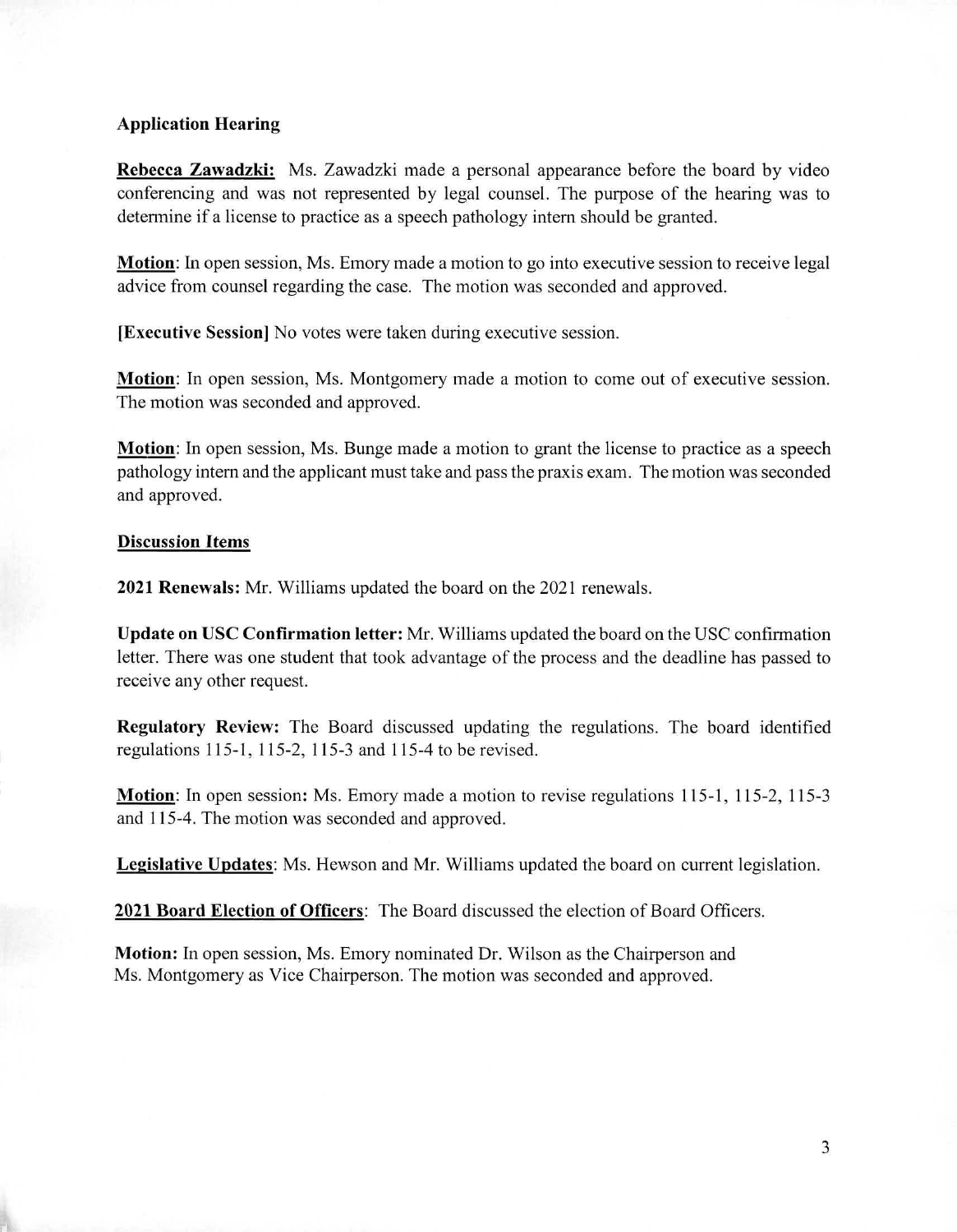## **Application Hearing**

**Rebecca Zawadzki:** Ms. Zawadzki made a personal appearance before the board by video conferencing and was not represented by legal counsel. The purpose of the hearing was to determine if a license to practice as a speech pathology intern should be granted.

**Motion:** In open session, Ms. Emory made a motion to go into executive session to receive legal advice from counsel regarding the case. The motion was seconded and approved.

**[Executive Session]** No votes were taken during executive session.

**Motion:** In open session, Ms. Montgomery made a motion to come out of executive session. The motion was seconded and approved.

**Motion:** In open session, Ms. Bunge made a motion to grant the license to practice as a speech pathology intern and the applicant must take and pass the praxis exam. The motion was seconded and approved.

## **Discussion Items**

**2021 Renewals:** Mr. Williams updated the board on the 2021 renewals.

**Update on USC Confirmation letter:** Mr. Williams updated the board on the USC confirmation letter. There was one student that took advantage of the process and the deadline has passed to receive any other request.

**Regulatory Review:** The Board discussed updating the regulations. The board identified regulations 115-1, 115-2, 115-3 and 115-4 to be revised.

**Motion.** In open session: Ms. Emory made a motion to revise regulations 115-1, 115-2, 115-3 and 115-4. The motion was seconded and approved.

**Legislative Updates:** Ms. Hewson and Mr. Williams updated the board on current legislation.

**2021 Board Election of Officers:** The Board discussed the election of Board Officers.

**Motion:** In open session, Ms. Emory nominated Dr. Wilson as the Chairperson and Ms. Montgomery as Vice Chairperson. The motion was seconded and approved.